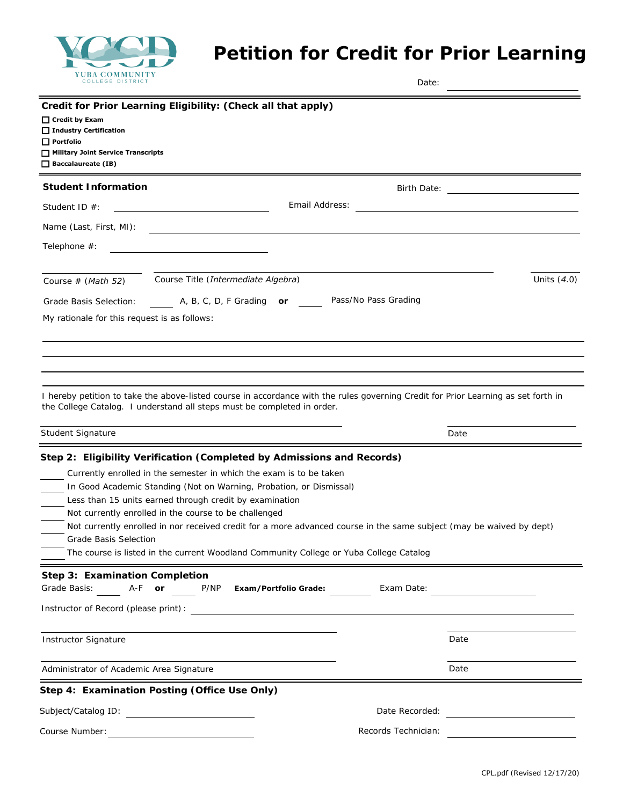

## **Petition for Credit for Prior Learning**

| COLLEGE DISTRICT                                                                                                                  |                                                                                                                                                                                                                                                                                                                                                                                                                                                                                                                                                            | Date:                |                                                |
|-----------------------------------------------------------------------------------------------------------------------------------|------------------------------------------------------------------------------------------------------------------------------------------------------------------------------------------------------------------------------------------------------------------------------------------------------------------------------------------------------------------------------------------------------------------------------------------------------------------------------------------------------------------------------------------------------------|----------------------|------------------------------------------------|
| $\Box$ Credit by Exam<br>□ Industry Certification<br>$\Box$ Portfolio<br>Military Joint Service Transcripts<br>Baccalaureate (IB) | Credit for Prior Learning Eligibility: (Check all that apply)                                                                                                                                                                                                                                                                                                                                                                                                                                                                                              |                      |                                                |
| <b>Student Information</b>                                                                                                        |                                                                                                                                                                                                                                                                                                                                                                                                                                                                                                                                                            | Birth Date:          |                                                |
| Student ID $#$ :                                                                                                                  | Email Address:                                                                                                                                                                                                                                                                                                                                                                                                                                                                                                                                             |                      |                                                |
| Name (Last, First, MI):                                                                                                           |                                                                                                                                                                                                                                                                                                                                                                                                                                                                                                                                                            |                      |                                                |
| Telephone #:                                                                                                                      |                                                                                                                                                                                                                                                                                                                                                                                                                                                                                                                                                            |                      |                                                |
| Course $# (Math 52)$                                                                                                              | Course Title (Intermediate Algebra)                                                                                                                                                                                                                                                                                                                                                                                                                                                                                                                        |                      | Units $(4.0)$                                  |
| Grade Basis Selection:                                                                                                            | A, B, C, D, F Grading or                                                                                                                                                                                                                                                                                                                                                                                                                                                                                                                                   | Pass/No Pass Grading |                                                |
|                                                                                                                                   | I hereby petition to take the above-listed course in accordance with the rules governing Credit for Prior Learning as set forth in                                                                                                                                                                                                                                                                                                                                                                                                                         |                      |                                                |
| the College Catalog. I understand all steps must be completed in order.<br>Student Signature                                      |                                                                                                                                                                                                                                                                                                                                                                                                                                                                                                                                                            |                      | Date                                           |
| <b>Grade Basis Selection</b>                                                                                                      | Step 2: Eligibility Verification (Completed by Admissions and Records)<br>Currently enrolled in the semester in which the exam is to be taken<br>In Good Academic Standing (Not on Warning, Probation, or Dismissal)<br>Less than 15 units earned through credit by examination<br>Not currently enrolled in the course to be challenged<br>Not currently enrolled in nor received credit for a more advanced course in the same subject (may be waived by dept)<br>The course is listed in the current Woodland Community College or Yuba College Catalog |                      |                                                |
| Step 3: Examination Completion<br>Grade Basis:<br>A-F or                                                                          | P/NP<br>Exam/Portfolio Grade:<br>Instructor of Record (please print): Note that the set of the set of the set of the set of the set of the set of the set of the set of the set of the set of the set of the set of the set of the set of the set of the set of                                                                                                                                                                                                                                                                                            | Exam Date:           |                                                |
| <b>Instructor Signature</b>                                                                                                       |                                                                                                                                                                                                                                                                                                                                                                                                                                                                                                                                                            |                      | Date                                           |
| Administrator of Academic Area Signature                                                                                          |                                                                                                                                                                                                                                                                                                                                                                                                                                                                                                                                                            |                      | Date                                           |
|                                                                                                                                   | Step 4: Examination Posting (Office Use Only)                                                                                                                                                                                                                                                                                                                                                                                                                                                                                                              |                      |                                                |
| Subject/Catalog ID:                                                                                                               |                                                                                                                                                                                                                                                                                                                                                                                                                                                                                                                                                            | Date Recorded:       | <u> 1989 - Jan Barbara Barat, prima popula</u> |
| Course Number:                                                                                                                    |                                                                                                                                                                                                                                                                                                                                                                                                                                                                                                                                                            | Records Technician:  |                                                |